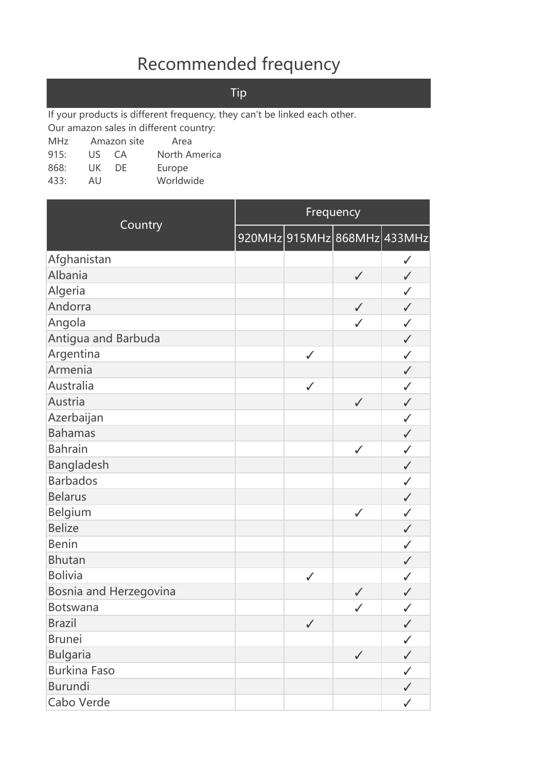## Recommended frequency

Tip

If your products is different frequency, they can't be linked each other.

Our amazon sales in different country:

MHz Amazon site Area

- 915: US CA North America
- 868: UK DE Europe
- 433: AU Worldwide

|                        |              | Frequency                   |              |
|------------------------|--------------|-----------------------------|--------------|
| Country                |              | 920MHz 915MHz 868MHz 433MHz |              |
| Afghanistan            |              |                             | $\checkmark$ |
| Albania                |              | $\checkmark$                | $\checkmark$ |
| Algeria                |              |                             | $\checkmark$ |
| Andorra                |              | $\checkmark$                | $\checkmark$ |
| Angola                 |              | $\checkmark$                | $\checkmark$ |
| Antigua and Barbuda    |              |                             | $\checkmark$ |
| Argentina              | $\checkmark$ |                             | $\checkmark$ |
| Armenia                |              |                             | $\checkmark$ |
| Australia              | $\checkmark$ |                             | $\checkmark$ |
| Austria                |              | $\checkmark$                | $\checkmark$ |
| Azerbaijan             |              |                             | $\checkmark$ |
| <b>Bahamas</b>         |              |                             | $\checkmark$ |
| <b>Bahrain</b>         |              | $\checkmark$                | $\checkmark$ |
| Bangladesh             |              |                             | $\checkmark$ |
| <b>Barbados</b>        |              |                             | $\checkmark$ |
| <b>Belarus</b>         |              |                             | $\checkmark$ |
| Belgium                |              | $\checkmark$                | $\checkmark$ |
| <b>Belize</b>          |              |                             | $\checkmark$ |
| <b>Benin</b>           |              |                             | $\checkmark$ |
| <b>Bhutan</b>          |              |                             | $\checkmark$ |
| <b>Bolivia</b>         | $\checkmark$ |                             | $\checkmark$ |
| Bosnia and Herzegovina |              | $\checkmark$                | $\checkmark$ |
| Botswana               |              | $\checkmark$                | $\checkmark$ |
| <b>Brazil</b>          | $\checkmark$ |                             | $\checkmark$ |
| <b>Brunei</b>          |              |                             | $\checkmark$ |
| <b>Bulgaria</b>        |              | $\checkmark$                | $\checkmark$ |
| <b>Burkina Faso</b>    |              |                             | $\checkmark$ |
| <b>Burundi</b>         |              |                             | $\checkmark$ |
| Cabo Verde             |              |                             | $\checkmark$ |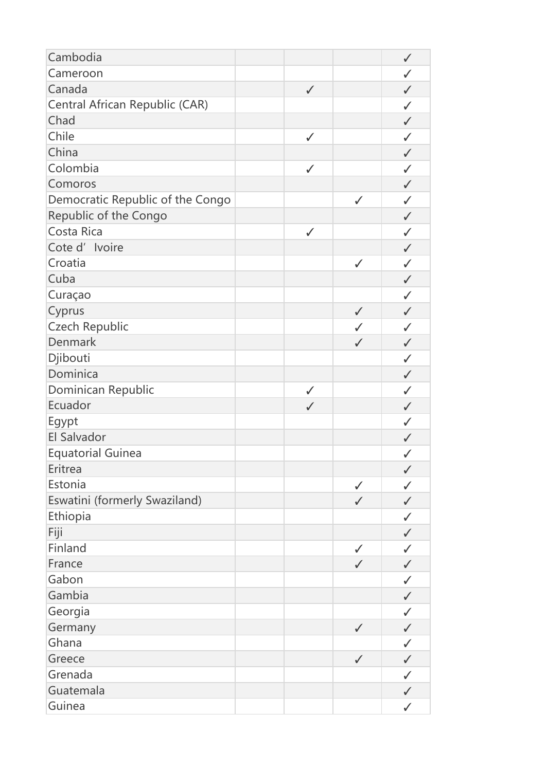| Cameroon<br>$\checkmark$<br>Canada<br>$\checkmark$<br>$\checkmark$<br>Central African Republic (CAR)<br>$\checkmark$<br>Chad<br>$\checkmark$<br>Chile<br>$\checkmark$<br>$\checkmark$<br>China<br>$\checkmark$<br>Colombia<br>$\checkmark$<br>$\checkmark$<br>Comoros<br>$\checkmark$<br>Democratic Republic of the Congo<br>$\checkmark$<br>$\checkmark$<br>Republic of the Congo<br>$\checkmark$<br>Costa Rica<br>$\checkmark$<br>✓<br>Cote d' Ivoire<br>$\checkmark$<br>Croatia<br>$\checkmark$<br>$\checkmark$<br>Cuba<br>$\checkmark$<br>Curaçao<br>$\checkmark$<br>Cyprus<br>$\checkmark$<br>$\checkmark$<br><b>Czech Republic</b><br>$\checkmark$<br>$\checkmark$ |
|--------------------------------------------------------------------------------------------------------------------------------------------------------------------------------------------------------------------------------------------------------------------------------------------------------------------------------------------------------------------------------------------------------------------------------------------------------------------------------------------------------------------------------------------------------------------------------------------------------------------------------------------------------------------------|
|                                                                                                                                                                                                                                                                                                                                                                                                                                                                                                                                                                                                                                                                          |
|                                                                                                                                                                                                                                                                                                                                                                                                                                                                                                                                                                                                                                                                          |
|                                                                                                                                                                                                                                                                                                                                                                                                                                                                                                                                                                                                                                                                          |
|                                                                                                                                                                                                                                                                                                                                                                                                                                                                                                                                                                                                                                                                          |
|                                                                                                                                                                                                                                                                                                                                                                                                                                                                                                                                                                                                                                                                          |
|                                                                                                                                                                                                                                                                                                                                                                                                                                                                                                                                                                                                                                                                          |
|                                                                                                                                                                                                                                                                                                                                                                                                                                                                                                                                                                                                                                                                          |
|                                                                                                                                                                                                                                                                                                                                                                                                                                                                                                                                                                                                                                                                          |
|                                                                                                                                                                                                                                                                                                                                                                                                                                                                                                                                                                                                                                                                          |
|                                                                                                                                                                                                                                                                                                                                                                                                                                                                                                                                                                                                                                                                          |
|                                                                                                                                                                                                                                                                                                                                                                                                                                                                                                                                                                                                                                                                          |
|                                                                                                                                                                                                                                                                                                                                                                                                                                                                                                                                                                                                                                                                          |
|                                                                                                                                                                                                                                                                                                                                                                                                                                                                                                                                                                                                                                                                          |
|                                                                                                                                                                                                                                                                                                                                                                                                                                                                                                                                                                                                                                                                          |
|                                                                                                                                                                                                                                                                                                                                                                                                                                                                                                                                                                                                                                                                          |
|                                                                                                                                                                                                                                                                                                                                                                                                                                                                                                                                                                                                                                                                          |
|                                                                                                                                                                                                                                                                                                                                                                                                                                                                                                                                                                                                                                                                          |
| Denmark<br>$\checkmark$<br>$\checkmark$                                                                                                                                                                                                                                                                                                                                                                                                                                                                                                                                                                                                                                  |
| Djibouti<br>$\checkmark$                                                                                                                                                                                                                                                                                                                                                                                                                                                                                                                                                                                                                                                 |
| Dominica<br>$\checkmark$                                                                                                                                                                                                                                                                                                                                                                                                                                                                                                                                                                                                                                                 |
| Dominican Republic<br>$\checkmark$<br>$\checkmark$                                                                                                                                                                                                                                                                                                                                                                                                                                                                                                                                                                                                                       |
| Ecuador<br>$\checkmark$<br>$\checkmark$                                                                                                                                                                                                                                                                                                                                                                                                                                                                                                                                                                                                                                  |
| Egypt<br>$\checkmark$                                                                                                                                                                                                                                                                                                                                                                                                                                                                                                                                                                                                                                                    |
| El Salvador<br>$\checkmark$                                                                                                                                                                                                                                                                                                                                                                                                                                                                                                                                                                                                                                              |
| <b>Equatorial Guinea</b><br>$\checkmark$                                                                                                                                                                                                                                                                                                                                                                                                                                                                                                                                                                                                                                 |
| Eritrea<br>$\checkmark$                                                                                                                                                                                                                                                                                                                                                                                                                                                                                                                                                                                                                                                  |
| Estonia<br>$\checkmark$<br>$\checkmark$                                                                                                                                                                                                                                                                                                                                                                                                                                                                                                                                                                                                                                  |
| Eswatini (formerly Swaziland)<br>$\checkmark$<br>$\checkmark$                                                                                                                                                                                                                                                                                                                                                                                                                                                                                                                                                                                                            |
| Ethiopia<br>$\checkmark$                                                                                                                                                                                                                                                                                                                                                                                                                                                                                                                                                                                                                                                 |
| Fiji<br>$\checkmark$                                                                                                                                                                                                                                                                                                                                                                                                                                                                                                                                                                                                                                                     |
| Finland<br>$\checkmark$<br>$\checkmark$                                                                                                                                                                                                                                                                                                                                                                                                                                                                                                                                                                                                                                  |
| France<br>$\checkmark$<br>$\checkmark$                                                                                                                                                                                                                                                                                                                                                                                                                                                                                                                                                                                                                                   |
| Gabon<br>$\checkmark$                                                                                                                                                                                                                                                                                                                                                                                                                                                                                                                                                                                                                                                    |
| Gambia<br>$\checkmark$                                                                                                                                                                                                                                                                                                                                                                                                                                                                                                                                                                                                                                                   |
| Georgia<br>$\checkmark$                                                                                                                                                                                                                                                                                                                                                                                                                                                                                                                                                                                                                                                  |
| Germany<br>$\checkmark$<br>$\checkmark$                                                                                                                                                                                                                                                                                                                                                                                                                                                                                                                                                                                                                                  |
| Ghana<br>$\checkmark$                                                                                                                                                                                                                                                                                                                                                                                                                                                                                                                                                                                                                                                    |
| Greece<br>$\checkmark$<br>$\checkmark$                                                                                                                                                                                                                                                                                                                                                                                                                                                                                                                                                                                                                                   |
| Grenada<br>$\checkmark$                                                                                                                                                                                                                                                                                                                                                                                                                                                                                                                                                                                                                                                  |
| Guatemala<br>$\checkmark$                                                                                                                                                                                                                                                                                                                                                                                                                                                                                                                                                                                                                                                |
| Guinea<br>$\checkmark$                                                                                                                                                                                                                                                                                                                                                                                                                                                                                                                                                                                                                                                   |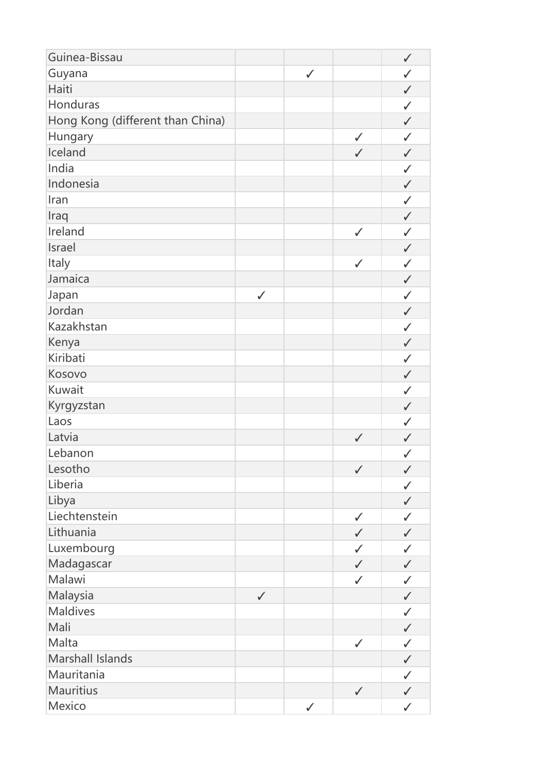| Guyana<br>$\checkmark$<br>$\checkmark$<br>Haiti<br>$\checkmark$<br>Honduras<br>$\checkmark$<br>Hong Kong (different than China)<br>$\checkmark$<br>Hungary<br>$\checkmark$<br>$\checkmark$<br>Iceland<br>$\checkmark$<br>$\checkmark$<br>India<br>$\checkmark$<br>Indonesia<br>$\checkmark$<br>Iran<br>$\checkmark$<br>Iraq<br>$\checkmark$<br>Ireland<br>$\checkmark$<br>$\checkmark$<br>Israel<br>$\checkmark$<br>Italy<br>$\checkmark$<br>$\checkmark$<br>Jamaica<br>$\checkmark$<br>Japan<br>$\checkmark$<br>$\checkmark$<br>Jordan<br>$\checkmark$<br>Kazakhstan<br>$\checkmark$<br>Kenya<br>$\checkmark$<br>Kiribati<br>$\checkmark$<br>Kosovo<br>$\checkmark$<br>Kuwait<br>$\checkmark$<br>Kyrgyzstan<br>$\checkmark$<br>Laos<br>$\checkmark$<br>Latvia<br>$\checkmark$<br>$\checkmark$ |
|------------------------------------------------------------------------------------------------------------------------------------------------------------------------------------------------------------------------------------------------------------------------------------------------------------------------------------------------------------------------------------------------------------------------------------------------------------------------------------------------------------------------------------------------------------------------------------------------------------------------------------------------------------------------------------------------------------------------------------------------------------------------------------------------|
|                                                                                                                                                                                                                                                                                                                                                                                                                                                                                                                                                                                                                                                                                                                                                                                                |
|                                                                                                                                                                                                                                                                                                                                                                                                                                                                                                                                                                                                                                                                                                                                                                                                |
|                                                                                                                                                                                                                                                                                                                                                                                                                                                                                                                                                                                                                                                                                                                                                                                                |
|                                                                                                                                                                                                                                                                                                                                                                                                                                                                                                                                                                                                                                                                                                                                                                                                |
|                                                                                                                                                                                                                                                                                                                                                                                                                                                                                                                                                                                                                                                                                                                                                                                                |
|                                                                                                                                                                                                                                                                                                                                                                                                                                                                                                                                                                                                                                                                                                                                                                                                |
|                                                                                                                                                                                                                                                                                                                                                                                                                                                                                                                                                                                                                                                                                                                                                                                                |
|                                                                                                                                                                                                                                                                                                                                                                                                                                                                                                                                                                                                                                                                                                                                                                                                |
|                                                                                                                                                                                                                                                                                                                                                                                                                                                                                                                                                                                                                                                                                                                                                                                                |
|                                                                                                                                                                                                                                                                                                                                                                                                                                                                                                                                                                                                                                                                                                                                                                                                |
|                                                                                                                                                                                                                                                                                                                                                                                                                                                                                                                                                                                                                                                                                                                                                                                                |
|                                                                                                                                                                                                                                                                                                                                                                                                                                                                                                                                                                                                                                                                                                                                                                                                |
|                                                                                                                                                                                                                                                                                                                                                                                                                                                                                                                                                                                                                                                                                                                                                                                                |
|                                                                                                                                                                                                                                                                                                                                                                                                                                                                                                                                                                                                                                                                                                                                                                                                |
|                                                                                                                                                                                                                                                                                                                                                                                                                                                                                                                                                                                                                                                                                                                                                                                                |
|                                                                                                                                                                                                                                                                                                                                                                                                                                                                                                                                                                                                                                                                                                                                                                                                |
|                                                                                                                                                                                                                                                                                                                                                                                                                                                                                                                                                                                                                                                                                                                                                                                                |
|                                                                                                                                                                                                                                                                                                                                                                                                                                                                                                                                                                                                                                                                                                                                                                                                |
|                                                                                                                                                                                                                                                                                                                                                                                                                                                                                                                                                                                                                                                                                                                                                                                                |
|                                                                                                                                                                                                                                                                                                                                                                                                                                                                                                                                                                                                                                                                                                                                                                                                |
|                                                                                                                                                                                                                                                                                                                                                                                                                                                                                                                                                                                                                                                                                                                                                                                                |
|                                                                                                                                                                                                                                                                                                                                                                                                                                                                                                                                                                                                                                                                                                                                                                                                |
|                                                                                                                                                                                                                                                                                                                                                                                                                                                                                                                                                                                                                                                                                                                                                                                                |
|                                                                                                                                                                                                                                                                                                                                                                                                                                                                                                                                                                                                                                                                                                                                                                                                |
| Lebanon<br>$\checkmark$                                                                                                                                                                                                                                                                                                                                                                                                                                                                                                                                                                                                                                                                                                                                                                        |
| Lesotho<br>$\checkmark$<br>$\checkmark$                                                                                                                                                                                                                                                                                                                                                                                                                                                                                                                                                                                                                                                                                                                                                        |
| Liberia<br>$\checkmark$                                                                                                                                                                                                                                                                                                                                                                                                                                                                                                                                                                                                                                                                                                                                                                        |
| Libya<br>$\checkmark$                                                                                                                                                                                                                                                                                                                                                                                                                                                                                                                                                                                                                                                                                                                                                                          |
| Liechtenstein<br>$\checkmark$<br>$\checkmark$                                                                                                                                                                                                                                                                                                                                                                                                                                                                                                                                                                                                                                                                                                                                                  |
| Lithuania<br>$\checkmark$<br>$\checkmark$                                                                                                                                                                                                                                                                                                                                                                                                                                                                                                                                                                                                                                                                                                                                                      |
| Luxembourg<br>$\checkmark$<br>$\checkmark$                                                                                                                                                                                                                                                                                                                                                                                                                                                                                                                                                                                                                                                                                                                                                     |
| Madagascar<br>$\checkmark$<br>$\checkmark$                                                                                                                                                                                                                                                                                                                                                                                                                                                                                                                                                                                                                                                                                                                                                     |
| Malawi<br>$\checkmark$<br>$\checkmark$                                                                                                                                                                                                                                                                                                                                                                                                                                                                                                                                                                                                                                                                                                                                                         |
| Malaysia<br>$\checkmark$<br>$\checkmark$                                                                                                                                                                                                                                                                                                                                                                                                                                                                                                                                                                                                                                                                                                                                                       |
| <b>Maldives</b><br>$\checkmark$                                                                                                                                                                                                                                                                                                                                                                                                                                                                                                                                                                                                                                                                                                                                                                |
| Mali<br>$\checkmark$                                                                                                                                                                                                                                                                                                                                                                                                                                                                                                                                                                                                                                                                                                                                                                           |
| Malta<br>$\checkmark$<br>$\checkmark$                                                                                                                                                                                                                                                                                                                                                                                                                                                                                                                                                                                                                                                                                                                                                          |
| Marshall Islands<br>$\checkmark$                                                                                                                                                                                                                                                                                                                                                                                                                                                                                                                                                                                                                                                                                                                                                               |
| Mauritania<br>$\checkmark$                                                                                                                                                                                                                                                                                                                                                                                                                                                                                                                                                                                                                                                                                                                                                                     |
| Mauritius<br>$\checkmark$<br>$\checkmark$                                                                                                                                                                                                                                                                                                                                                                                                                                                                                                                                                                                                                                                                                                                                                      |
| Mexico<br>$\checkmark$<br>$\checkmark$                                                                                                                                                                                                                                                                                                                                                                                                                                                                                                                                                                                                                                                                                                                                                         |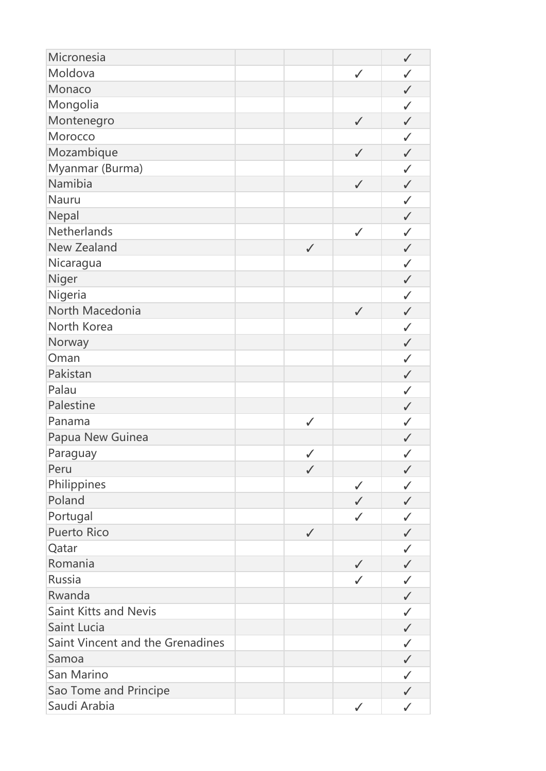| Micronesia                       |              |              | $\checkmark$ |
|----------------------------------|--------------|--------------|--------------|
| Moldova                          |              | $\checkmark$ | $\checkmark$ |
| Monaco                           |              |              | $\checkmark$ |
| Mongolia                         |              |              | $\checkmark$ |
| Montenegro                       |              | $\checkmark$ | $\checkmark$ |
| Morocco                          |              |              | $\checkmark$ |
| Mozambique                       |              | $\checkmark$ | $\checkmark$ |
| Myanmar (Burma)                  |              |              | $\checkmark$ |
| Namibia                          |              | $\checkmark$ | $\checkmark$ |
| Nauru                            |              |              | $\checkmark$ |
| Nepal                            |              |              | $\checkmark$ |
| Netherlands                      |              | $\checkmark$ | $\checkmark$ |
| <b>New Zealand</b>               | $\checkmark$ |              | $\checkmark$ |
| Nicaragua                        |              |              | $\checkmark$ |
| Niger                            |              |              | $\checkmark$ |
| Nigeria                          |              |              | $\checkmark$ |
| North Macedonia                  |              | $\checkmark$ | $\checkmark$ |
| North Korea                      |              |              | $\checkmark$ |
| Norway                           |              |              | $\checkmark$ |
| Oman                             |              |              | $\checkmark$ |
| Pakistan                         |              |              | $\checkmark$ |
| Palau                            |              |              | $\checkmark$ |
| Palestine                        |              |              | $\checkmark$ |
| Panama                           | $\checkmark$ |              | $\checkmark$ |
| Papua New Guinea                 |              |              | $\checkmark$ |
| Paraguay                         | $\checkmark$ |              | $\checkmark$ |
| Peru                             | $\checkmark$ |              | $\checkmark$ |
| Philippines                      |              | $\checkmark$ | $\checkmark$ |
| Poland                           |              | $\checkmark$ | $\checkmark$ |
| Portugal                         |              | $\checkmark$ | $\checkmark$ |
| <b>Puerto Rico</b>               | $\checkmark$ |              | $\checkmark$ |
| Qatar                            |              |              | $\checkmark$ |
| Romania                          |              | $\checkmark$ | $\checkmark$ |
| Russia                           |              | $\checkmark$ | $\checkmark$ |
| Rwanda                           |              |              | $\checkmark$ |
| <b>Saint Kitts and Nevis</b>     |              |              | ✓            |
| Saint Lucia                      |              |              | $\checkmark$ |
| Saint Vincent and the Grenadines |              |              | $\checkmark$ |
| Samoa                            |              |              | $\checkmark$ |
| San Marino                       |              |              | $\checkmark$ |
| Sao Tome and Principe            |              |              | $\checkmark$ |
| Saudi Arabia                     |              | $\checkmark$ | $\checkmark$ |
|                                  |              |              |              |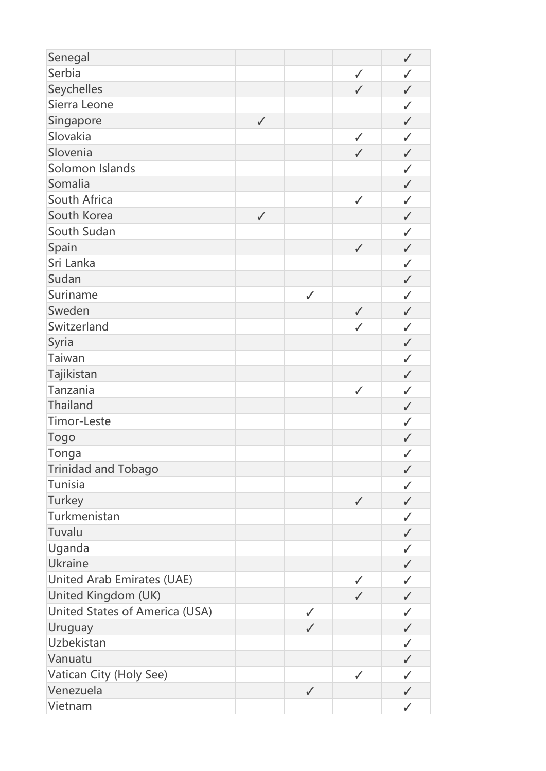| Senegal                        |              |              |              | $\checkmark$ |
|--------------------------------|--------------|--------------|--------------|--------------|
| Serbia                         |              |              | $\checkmark$ | $\checkmark$ |
| Seychelles                     |              |              | $\checkmark$ | $\checkmark$ |
| Sierra Leone                   |              |              |              | $\checkmark$ |
| Singapore                      | $\checkmark$ |              |              | $\checkmark$ |
| Slovakia                       |              |              | $\checkmark$ | $\checkmark$ |
| Slovenia                       |              |              | $\checkmark$ | $\checkmark$ |
| Solomon Islands                |              |              |              | $\checkmark$ |
| Somalia                        |              |              |              | $\checkmark$ |
| South Africa                   |              |              | $\checkmark$ | $\checkmark$ |
| South Korea                    | $\checkmark$ |              |              | $\checkmark$ |
| South Sudan                    |              |              |              | $\checkmark$ |
| Spain                          |              |              | $\checkmark$ | $\checkmark$ |
| Sri Lanka                      |              |              |              | $\checkmark$ |
| Sudan                          |              |              |              | $\checkmark$ |
| Suriname                       |              | $\checkmark$ |              | $\checkmark$ |
| Sweden                         |              |              | $\checkmark$ | $\checkmark$ |
| Switzerland                    |              |              | $\checkmark$ | $\checkmark$ |
| Syria                          |              |              |              | $\checkmark$ |
| Taiwan                         |              |              |              | $\checkmark$ |
| Tajikistan                     |              |              |              | $\checkmark$ |
| Tanzania                       |              |              | $\checkmark$ | $\checkmark$ |
| Thailand                       |              |              |              | $\checkmark$ |
| Timor-Leste                    |              |              |              | $\checkmark$ |
| <b>Togo</b>                    |              |              |              | $\checkmark$ |
| Tonga                          |              |              |              | $\checkmark$ |
| <b>Trinidad and Tobago</b>     |              |              |              | $\checkmark$ |
| Tunisia                        |              |              |              | $\checkmark$ |
| Turkey                         |              |              | $\checkmark$ | $\checkmark$ |
| Turkmenistan                   |              |              |              | $\checkmark$ |
| Tuvalu                         |              |              |              | $\checkmark$ |
| Uganda                         |              |              |              | $\checkmark$ |
| Ukraine                        |              |              |              | $\checkmark$ |
| United Arab Emirates (UAE)     |              |              | $\checkmark$ | $\checkmark$ |
| United Kingdom (UK)            |              |              | $\checkmark$ | $\checkmark$ |
| United States of America (USA) |              | $\checkmark$ |              | $\checkmark$ |
| Uruguay                        |              | $\checkmark$ |              | $\checkmark$ |
| Uzbekistan                     |              |              |              | $\checkmark$ |
| Vanuatu                        |              |              |              | $\checkmark$ |
| Vatican City (Holy See)        |              |              | $\checkmark$ | $\checkmark$ |
| Venezuela                      |              | $\checkmark$ |              | $\checkmark$ |
| Vietnam                        |              |              |              | ✓            |
|                                |              |              |              |              |